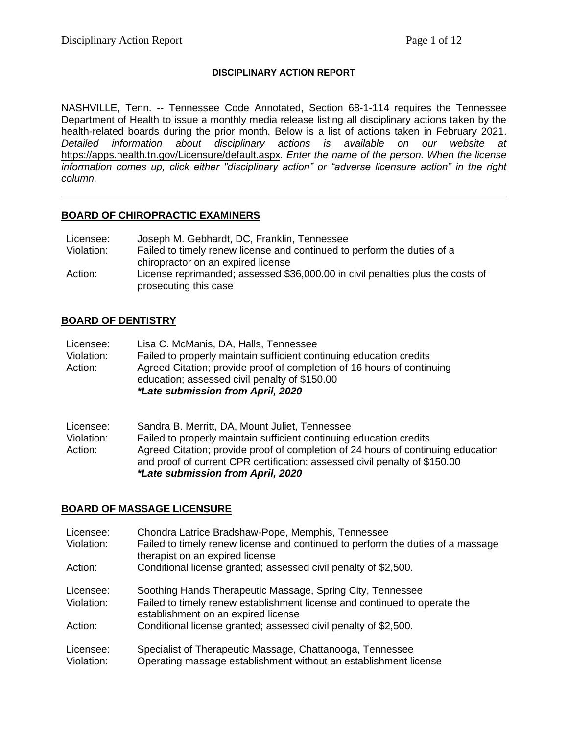## **DISCIPLINARY ACTION REPORT**

NASHVILLE, Tenn. -- Tennessee Code Annotated, Section 68-1-114 requires the Tennessee Department of Health to issue a monthly media release listing all disciplinary actions taken by the health-related boards during the prior month. Below is a list of actions taken in February 2021. *Detailed information about disciplinary actions is available on our website at*  <https://apps.health.tn.gov/Licensure/default.aspx>*. Enter the name of the person. When the license information comes up, click either "disciplinary action" or "adverse licensure action" in the right column.*

### **BOARD OF CHIROPRACTIC EXAMINERS**

| Licensee:  | Joseph M. Gebhardt, DC, Franklin, Tennessee                                    |
|------------|--------------------------------------------------------------------------------|
| Violation: | Failed to timely renew license and continued to perform the duties of a        |
|            | chiropractor on an expired license                                             |
| Action:    | License reprimanded; assessed \$36,000.00 in civil penalties plus the costs of |
|            | prosecuting this case                                                          |

## **BOARD OF DENTISTRY**

| Licensee:  | Lisa C. McManis, DA, Halls, Tennessee                                                                                   |
|------------|-------------------------------------------------------------------------------------------------------------------------|
| Violation: | Failed to properly maintain sufficient continuing education credits                                                     |
| Action:    | Agreed Citation; provide proof of completion of 16 hours of continuing<br>education; assessed civil penalty of \$150.00 |
|            | *Late submission from April, 2020                                                                                       |

| Licensee:  | Sandra B. Merritt, DA, Mount Juliet, Tennessee                                                                                                                 |
|------------|----------------------------------------------------------------------------------------------------------------------------------------------------------------|
| Violation: | Failed to properly maintain sufficient continuing education credits                                                                                            |
| Action:    | Agreed Citation; provide proof of completion of 24 hours of continuing education<br>and proof of current CPR certification; assessed civil penalty of \$150.00 |
|            | *Late submission from April, 2020                                                                                                                              |

## **BOARD OF MASSAGE LICENSURE**

| Licensee:  | Chondra Latrice Bradshaw-Pope, Memphis, Tennessee                                                                  |
|------------|--------------------------------------------------------------------------------------------------------------------|
| Violation: | Failed to timely renew license and continued to perform the duties of a massage<br>therapist on an expired license |
| Action:    | Conditional license granted; assessed civil penalty of \$2,500.                                                    |
| Licensee:  | Soothing Hands Therapeutic Massage, Spring City, Tennessee                                                         |
| Violation: | Failed to timely renew establishment license and continued to operate the<br>establishment on an expired license   |
| Action:    | Conditional license granted; assessed civil penalty of \$2,500.                                                    |
| Licensee:  | Specialist of Therapeutic Massage, Chattanooga, Tennessee                                                          |
| Violation: | Operating massage establishment without an establishment license                                                   |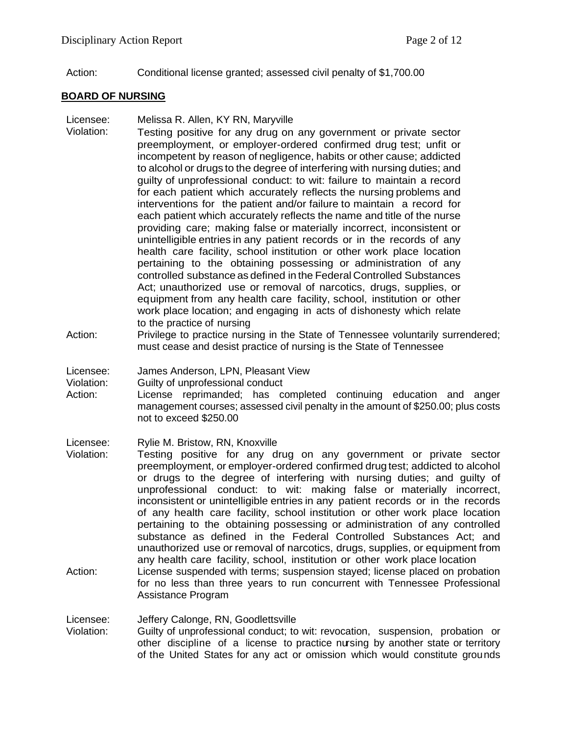Action: Conditional license granted; assessed civil penalty of \$1,700.00

## **BOARD OF NURSING**

- Licensee: Melissa R. Allen, KY RN, Maryville
- Violation: Testing positive for any drug on any government or private sector preemployment, or employer-ordered confirmed drug test; unfit or incompetent by reason of negligence, habits or other cause; addicted to alcohol or drugs to the degree of interfering with nursing duties; and guilty of unprofessional conduct: to wit: failure to maintain a record for each patient which accurately reflects the nursing problems and interventions for the patient and/or failure to maintain a record for each patient which accurately reflects the name and title of the nurse providing care; making false or materially incorrect, inconsistent or unintelligible entries in any patient records or in the records of any health care facility, school institution or other work place location pertaining to the obtaining possessing or administration of any controlled substance as defined in the Federal Controlled Substances Act; unauthorized use or removal of narcotics, drugs, supplies, or equipment from any health care facility, school, institution or other work place location; and engaging in acts of dishonesty which relate to the practice of nursing
- Action: Privilege to practice nursing in the State of Tennessee voluntarily surrendered; must cease and desist practice of nursing is the State of Tennessee

Licensee: James Anderson, LPN, Pleasant View

Violation: Guilty of unprofessional conduct

Action: License reprimanded; has completed continuing education and anger management courses; assessed civil penalty in the amount of \$250.00; plus costs not to exceed \$250.00

Licensee: Rylie M. Bristow, RN, Knoxville

- Violation: Testing positive for any drug on any government or private sector preemployment, or employer-ordered confirmed drug test; addicted to alcohol or drugs to the degree of interfering with nursing duties; and guilty of unprofessional conduct: to wit: making false or materially incorrect, inconsistent or unintelligible entries in any patient records or in the records of any health care facility, school institution or other work place location pertaining to the obtaining possessing or administration of any controlled substance as defined in the Federal Controlled Substances Act; and unauthorized use or removal of narcotics, drugs, supplies, or equipment from any health care facility, school, institution or other work place location
- Action: License suspended with terms; suspension stayed; license placed on probation for no less than three years to run concurrent with Tennessee Professional Assistance Program

Licensee: Jeffery Calonge, RN, Goodlettsville

Violation: Guilty of unprofessional conduct; to wit: revocation, suspension, probation or other discipline of a license to practice nursing by another state or territory of the United States for any act or omission which would constitute grounds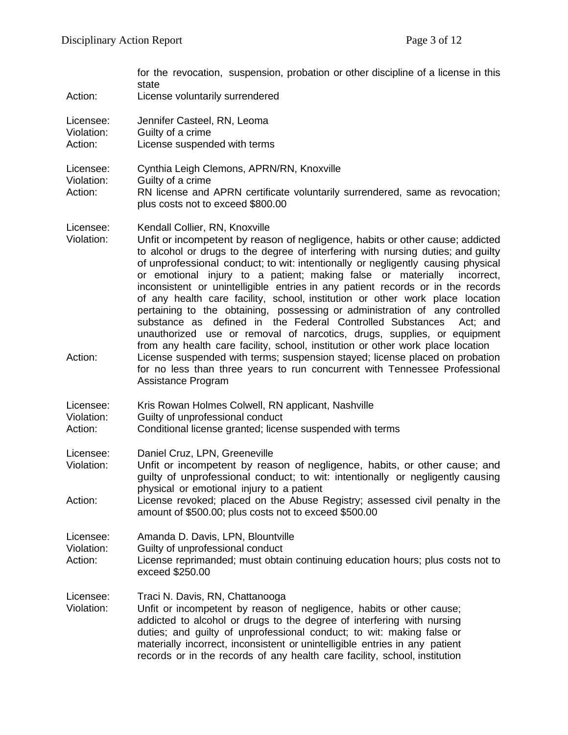|                                    | for the revocation, suspension, probation or other discipline of a license in this<br>state                                                                                                                                                                                                                                                                                                                                                                                                                                                                                                                                                                                                                                                                                                                                                                                                                                                                                                                                   |
|------------------------------------|-------------------------------------------------------------------------------------------------------------------------------------------------------------------------------------------------------------------------------------------------------------------------------------------------------------------------------------------------------------------------------------------------------------------------------------------------------------------------------------------------------------------------------------------------------------------------------------------------------------------------------------------------------------------------------------------------------------------------------------------------------------------------------------------------------------------------------------------------------------------------------------------------------------------------------------------------------------------------------------------------------------------------------|
| Action:                            | License voluntarily surrendered                                                                                                                                                                                                                                                                                                                                                                                                                                                                                                                                                                                                                                                                                                                                                                                                                                                                                                                                                                                               |
| Licensee:<br>Violation:<br>Action: | Jennifer Casteel, RN, Leoma<br>Guilty of a crime<br>License suspended with terms                                                                                                                                                                                                                                                                                                                                                                                                                                                                                                                                                                                                                                                                                                                                                                                                                                                                                                                                              |
| Licensee:<br>Violation:<br>Action: | Cynthia Leigh Clemons, APRN/RN, Knoxville<br>Guilty of a crime<br>RN license and APRN certificate voluntarily surrendered, same as revocation;<br>plus costs not to exceed \$800.00                                                                                                                                                                                                                                                                                                                                                                                                                                                                                                                                                                                                                                                                                                                                                                                                                                           |
| Licensee:<br>Violation:<br>Action: | Kendall Collier, RN, Knoxville<br>Unfit or incompetent by reason of negligence, habits or other cause; addicted<br>to alcohol or drugs to the degree of interfering with nursing duties; and guilty<br>of unprofessional conduct; to wit: intentionally or negligently causing physical<br>or emotional injury to a patient; making false or materially<br>incorrect.<br>inconsistent or unintelligible entries in any patient records or in the records<br>of any health care facility, school, institution or other work place location<br>pertaining to the obtaining, possessing or administration of any controlled<br>substance as defined in the Federal Controlled Substances<br>Act; and<br>unauthorized use or removal of narcotics, drugs, supplies, or equipment<br>from any health care facility, school, institution or other work place location<br>License suspended with terms; suspension stayed; license placed on probation<br>for no less than three years to run concurrent with Tennessee Professional |
|                                    | Assistance Program                                                                                                                                                                                                                                                                                                                                                                                                                                                                                                                                                                                                                                                                                                                                                                                                                                                                                                                                                                                                            |
| Licensee:<br>Violation:<br>Action: | Kris Rowan Holmes Colwell, RN applicant, Nashville<br>Guilty of unprofessional conduct<br>Conditional license granted; license suspended with terms                                                                                                                                                                                                                                                                                                                                                                                                                                                                                                                                                                                                                                                                                                                                                                                                                                                                           |
| Licensee:<br>Violation:            | Daniel Cruz, LPN, Greeneville<br>Unfit or incompetent by reason of negligence, habits, or other cause; and<br>guilty of unprofessional conduct; to wit: intentionally or negligently causing<br>physical or emotional injury to a patient                                                                                                                                                                                                                                                                                                                                                                                                                                                                                                                                                                                                                                                                                                                                                                                     |
| Action:                            | License revoked; placed on the Abuse Registry; assessed civil penalty in the<br>amount of \$500.00; plus costs not to exceed \$500.00                                                                                                                                                                                                                                                                                                                                                                                                                                                                                                                                                                                                                                                                                                                                                                                                                                                                                         |
| Licensee:<br>Violation:<br>Action: | Amanda D. Davis, LPN, Blountville<br>Guilty of unprofessional conduct<br>License reprimanded; must obtain continuing education hours; plus costs not to<br>exceed \$250.00                                                                                                                                                                                                                                                                                                                                                                                                                                                                                                                                                                                                                                                                                                                                                                                                                                                    |
| Licensee:<br>Violation:            | Traci N. Davis, RN, Chattanooga<br>Unfit or incompetent by reason of negligence, habits or other cause;<br>addicted to alcohol or drugs to the degree of interfering with nursing<br>duties; and guilty of unprofessional conduct; to wit: making false or<br>materially incorrect, inconsistent or unintelligible entries in any patient<br>records or in the records of any health care facility, school, institution                                                                                                                                                                                                                                                                                                                                                                                                                                                                                                                                                                                                       |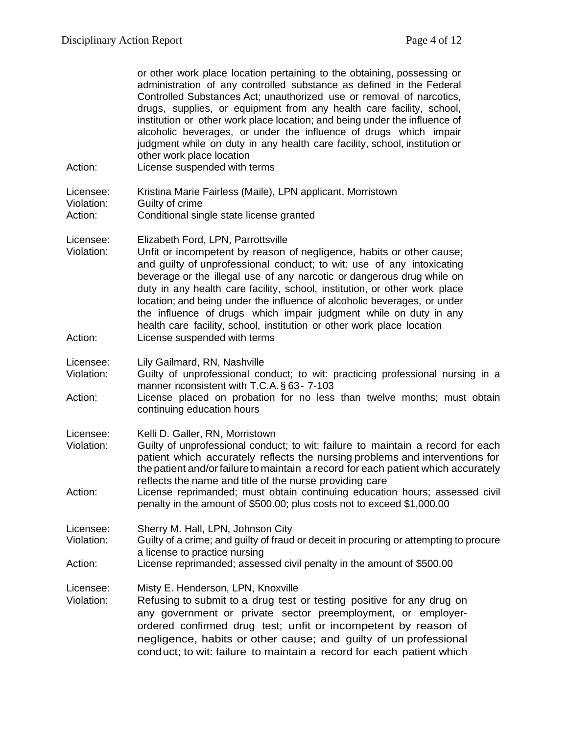| Action:                            | or other work place location pertaining to the obtaining, possessing or<br>administration of any controlled substance as defined in the Federal<br>Controlled Substances Act; unauthorized use or removal of narcotics,<br>drugs, supplies, or equipment from any health care facility, school,<br>institution or other work place location; and being under the influence of<br>alcoholic beverages, or under the influence of drugs which impair<br>judgment while on duty in any health care facility, school, institution or<br>other work place location<br>License suspended with terms          |
|------------------------------------|--------------------------------------------------------------------------------------------------------------------------------------------------------------------------------------------------------------------------------------------------------------------------------------------------------------------------------------------------------------------------------------------------------------------------------------------------------------------------------------------------------------------------------------------------------------------------------------------------------|
| Licensee:<br>Violation:            | Kristina Marie Fairless (Maile), LPN applicant, Morristown<br>Guilty of crime                                                                                                                                                                                                                                                                                                                                                                                                                                                                                                                          |
| Action:                            | Conditional single state license granted                                                                                                                                                                                                                                                                                                                                                                                                                                                                                                                                                               |
| Licensee:<br>Violation:<br>Action: | Elizabeth Ford, LPN, Parrottsville<br>Unfit or incompetent by reason of negligence, habits or other cause;<br>and guilty of unprofessional conduct; to wit: use of any intoxicating<br>beverage or the illegal use of any narcotic or dangerous drug while on<br>duty in any health care facility, school, institution, or other work place<br>location; and being under the influence of alcoholic beverages, or under<br>the influence of drugs which impair judgment while on duty in any<br>health care facility, school, institution or other work place location<br>License suspended with terms |
| Licensee:                          | Lily Gailmard, RN, Nashville                                                                                                                                                                                                                                                                                                                                                                                                                                                                                                                                                                           |
| Violation:                         | Guilty of unprofessional conduct; to wit: practicing professional nursing in a<br>manner inconsistent with T.C.A. § 63-7-103                                                                                                                                                                                                                                                                                                                                                                                                                                                                           |
| Action:                            | License placed on probation for no less than twelve months; must obtain<br>continuing education hours                                                                                                                                                                                                                                                                                                                                                                                                                                                                                                  |
| Licensee:                          | Kelli D. Galler, RN, Morristown                                                                                                                                                                                                                                                                                                                                                                                                                                                                                                                                                                        |
| Violation:                         | Guilty of unprofessional conduct; to wit: failure to maintain a record for each<br>patient which accurately reflects the nursing problems and interventions for<br>the patient and/or failure to maintain a record for each patient which accurately<br>reflects the name and title of the nurse providing care                                                                                                                                                                                                                                                                                        |
| Action:                            | License reprimanded; must obtain continuing education hours; assessed civil<br>penalty in the amount of \$500.00; plus costs not to exceed \$1,000.00                                                                                                                                                                                                                                                                                                                                                                                                                                                  |
| Licensee:<br>Violation:            | Sherry M. Hall, LPN, Johnson City<br>Guilty of a crime; and guilty of fraud or deceit in procuring or attempting to procure                                                                                                                                                                                                                                                                                                                                                                                                                                                                            |
|                                    | a license to practice nursing                                                                                                                                                                                                                                                                                                                                                                                                                                                                                                                                                                          |
| Action:                            | License reprimanded; assessed civil penalty in the amount of \$500.00                                                                                                                                                                                                                                                                                                                                                                                                                                                                                                                                  |
| Licensee:<br>Violation:            | Misty E. Henderson, LPN, Knoxville<br>Refusing to submit to a drug test or testing positive for any drug on<br>any government or private sector preemployment, or employer-<br>ordered confirmed drug test; unfit or incompetent by reason of<br>negligence, habits or other cause; and guilty of un professional<br>conduct; to wit: failure to maintain a record for each patient which                                                                                                                                                                                                              |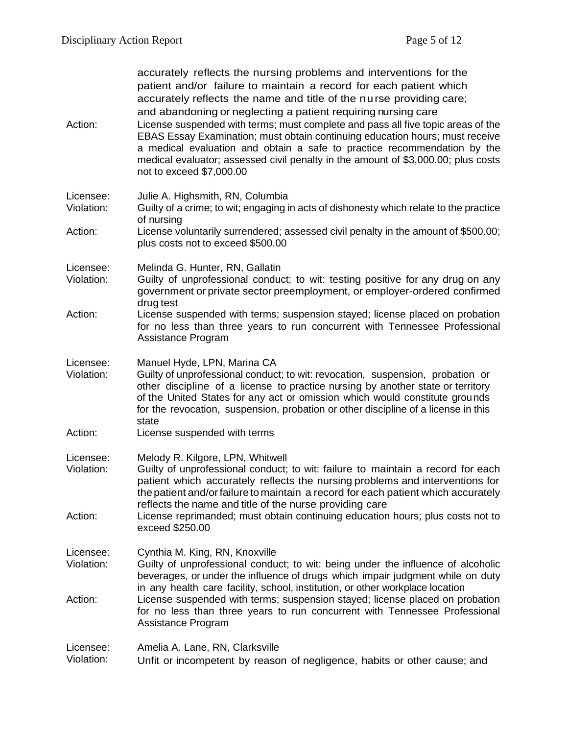| Action:                 | accurately reflects the nursing problems and interventions for the<br>patient and/or failure to maintain a record for each patient which<br>accurately reflects the name and title of the nurse providing care;<br>and abandoning or neglecting a patient requiring nursing care<br>License suspended with terms; must complete and pass all five topic areas of the<br>EBAS Essay Examination; must obtain continuing education hours; must receive<br>a medical evaluation and obtain a safe to practice recommendation by the<br>medical evaluator; assessed civil penalty in the amount of \$3,000.00; plus costs<br>not to exceed \$7,000.00 |
|-------------------------|---------------------------------------------------------------------------------------------------------------------------------------------------------------------------------------------------------------------------------------------------------------------------------------------------------------------------------------------------------------------------------------------------------------------------------------------------------------------------------------------------------------------------------------------------------------------------------------------------------------------------------------------------|
| Licensee:<br>Violation: | Julie A. Highsmith, RN, Columbia<br>Guilty of a crime; to wit; engaging in acts of dishonesty which relate to the practice<br>of nursing                                                                                                                                                                                                                                                                                                                                                                                                                                                                                                          |
| Action:                 | License voluntarily surrendered; assessed civil penalty in the amount of \$500.00;<br>plus costs not to exceed \$500.00                                                                                                                                                                                                                                                                                                                                                                                                                                                                                                                           |
| Licensee:<br>Violation: | Melinda G. Hunter, RN, Gallatin<br>Guilty of unprofessional conduct; to wit: testing positive for any drug on any<br>government or private sector preemployment, or employer-ordered confirmed<br>drug test                                                                                                                                                                                                                                                                                                                                                                                                                                       |
| Action:                 | License suspended with terms; suspension stayed; license placed on probation<br>for no less than three years to run concurrent with Tennessee Professional<br>Assistance Program                                                                                                                                                                                                                                                                                                                                                                                                                                                                  |
| Licensee:<br>Violation: | Manuel Hyde, LPN, Marina CA<br>Guilty of unprofessional conduct; to wit: revocation, suspension, probation or<br>other discipline of a license to practice nursing by another state or territory<br>of the United States for any act or omission which would constitute grounds<br>for the revocation, suspension, probation or other discipline of a license in this<br>state                                                                                                                                                                                                                                                                    |
| Action:                 | License suspended with terms                                                                                                                                                                                                                                                                                                                                                                                                                                                                                                                                                                                                                      |
| Licensee:<br>Violation: | Melody R. Kilgore, LPN, Whitwell<br>Guilty of unprofessional conduct; to wit: failure to maintain a record for each<br>patient which accurately reflects the nursing problems and interventions for<br>the patient and/or failure to maintain a record for each patient which accurately<br>reflects the name and title of the nurse providing care                                                                                                                                                                                                                                                                                               |
| Action:                 | License reprimanded; must obtain continuing education hours; plus costs not to<br>exceed \$250.00                                                                                                                                                                                                                                                                                                                                                                                                                                                                                                                                                 |
| Licensee:<br>Violation: | Cynthia M. King, RN, Knoxville<br>Guilty of unprofessional conduct; to wit: being under the influence of alcoholic<br>beverages, or under the influence of drugs which impair judgment while on duty<br>in any health care facility, school, institution, or other workplace location                                                                                                                                                                                                                                                                                                                                                             |
| Action:                 | License suspended with terms; suspension stayed; license placed on probation<br>for no less than three years to run concurrent with Tennessee Professional<br>Assistance Program                                                                                                                                                                                                                                                                                                                                                                                                                                                                  |
| Licensee:<br>Violation: | Amelia A. Lane, RN, Clarksville<br>Unfit or incompetent by reason of negligence, habits or other cause; and                                                                                                                                                                                                                                                                                                                                                                                                                                                                                                                                       |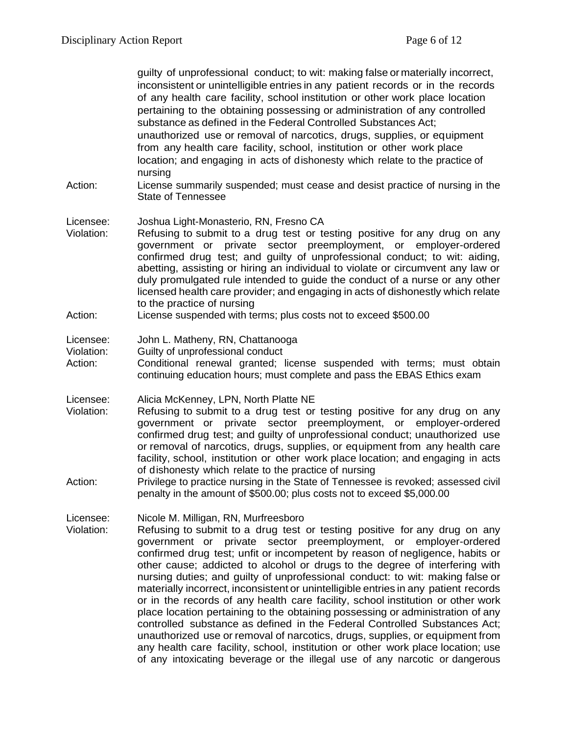guilty of unprofessional conduct; to wit: making false or materially incorrect, inconsistent or unintelligible entries in any patient records or in the records of any health care facility, school institution or other work place location pertaining to the obtaining possessing or administration of any controlled substance as defined in the Federal Controlled Substances Act; unauthorized use or removal of narcotics, drugs, supplies, or equipment from any health care facility, school, institution or other work place location; and engaging in acts of dishonesty which relate to the practice of nursing

- Action: License summarily suspended; must cease and desist practice of nursing in the State of Tennessee
- Licensee: Joshua Light-Monasterio, RN, Fresno CA
- Violation: Refusing to submit to a drug test or testing positive for any drug on any government or private sector preemployment, or employer-ordered confirmed drug test; and guilty of unprofessional conduct; to wit: aiding, abetting, assisting or hiring an individual to violate or circumvent any law or duly promulgated rule intended to guide the conduct of a nurse or any other licensed health care provider; and engaging in acts of dishonestly which relate to the practice of nursing
- Action: License suspended with terms; plus costs not to exceed \$500.00

#### Licensee: John L. Matheny, RN, Chattanooga

- Violation: Guilty of unprofessional conduct
- Action: Conditional renewal granted; license suspended with terms; must obtain continuing education hours; must complete and pass the EBAS Ethics exam
- Licensee: Alicia McKenney, LPN, North Platte NE
- Violation: Refusing to submit to a drug test or testing positive for any drug on any government or private sector preemployment, or employer-ordered confirmed drug test; and guilty of unprofessional conduct; unauthorized use or removal of narcotics, drugs, supplies, or equipment from any health care facility, school, institution or other work place location; and engaging in acts of dishonesty which relate to the practice of nursing
- Action: Privilege to practice nursing in the State of Tennessee is revoked; assessed civil penalty in the amount of \$500.00; plus costs not to exceed \$5,000.00

Licensee: Nicole M. Milligan, RN, Murfreesboro

Violation: Refusing to submit to a drug test or testing positive for any drug on any government or private sector preemployment, or employer-ordered confirmed drug test; unfit or incompetent by reason of negligence, habits or other cause; addicted to alcohol or drugs to the degree of interfering with nursing duties; and guilty of unprofessional conduct: to wit: making false or materially incorrect, inconsistent or unintelligible entries in any patient records or in the records of any health care facility, school institution or other work place location pertaining to the obtaining possessing or administration of any controlled substance as defined in the Federal Controlled Substances Act; unauthorized use or removal of narcotics, drugs, supplies, or equipment from any health care facility, school, institution or other work place location; use of any intoxicating beverage or the illegal use of any narcotic or dangerous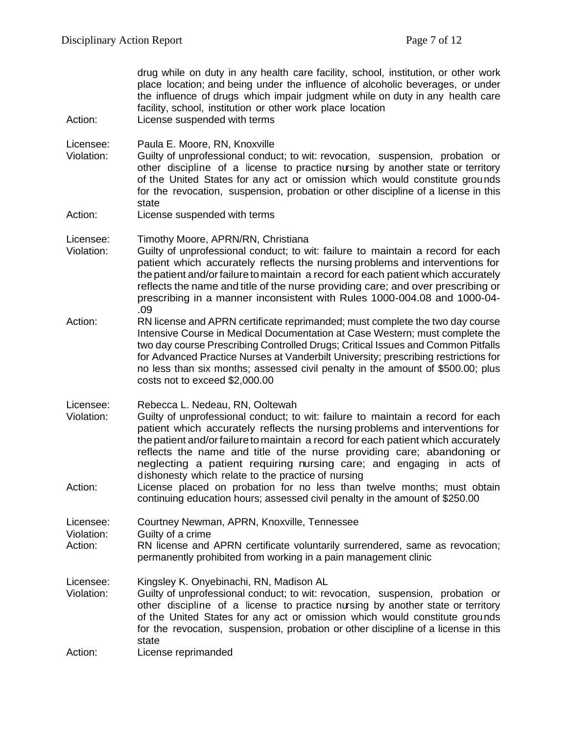drug while on duty in any health care facility, school, institution, or other work place location; and being under the influence of alcoholic beverages, or under the influence of drugs which impair judgment while on duty in any health care facility, school, institution or other work place location

Action: License suspended with terms

Licensee: Paula E. Moore, RN, Knoxville

- Violation: Guilty of unprofessional conduct; to wit: revocation, suspension, probation or other discipline of a license to practice nursing by another state or territory of the United States for any act or omission which would constitute grounds for the revocation, suspension, probation or other discipline of a license in this state
- Action: License suspended with terms

Licensee: Timothy Moore, APRN/RN, Christiana

- Violation: Guilty of unprofessional conduct; to wit: failure to maintain a record for each patient which accurately reflects the nursing problems and interventions for thepatient and/orfailuretomaintain a record for each patient which accurately reflects the name and title of the nurse providing care; and over prescribing or prescribing in a manner inconsistent with Rules 1000-004.08 and 1000-04- .09
- Action: RN license and APRN certificate reprimanded; must complete the two day course Intensive Course in Medical Documentation at Case Western; must complete the two day course Prescribing Controlled Drugs; Critical Issues and Common Pitfalls for Advanced Practice Nurses at Vanderbilt University; prescribing restrictions for no less than six months; assessed civil penalty in the amount of \$500.00; plus costs not to exceed \$2,000.00
- Licensee: Rebecca L. Nedeau, RN, Ooltewah
- Violation: Guilty of unprofessional conduct; to wit: failure to maintain a record for each patient which accurately reflects the nursing problems and interventions for thepatient and/orfailuretomaintain a record for each patient which accurately reflects the name and title of the nurse providing care; abandoning or neglecting a patient requiring nursing care; and engaging in acts of dishonesty which relate to the practice of nursing
- Action: License placed on probation for no less than twelve months; must obtain continuing education hours; assessed civil penalty in the amount of \$250.00

Licensee: Courtney Newman, APRN, Knoxville, Tennessee

Violation: Guilty of a crime

Action: RN license and APRN certificate voluntarily surrendered, same as revocation; permanently prohibited from working in a pain management clinic

Licensee: Kingsley K. Onyebinachi, RN, Madison AL

Violation: Guilty of unprofessional conduct; to wit: revocation, suspension, probation or other discipline of a license to practice nursing by another state or territory of the United States for any act or omission which would constitute grounds for the revocation, suspension, probation or other discipline of a license in this state

Action: License reprimanded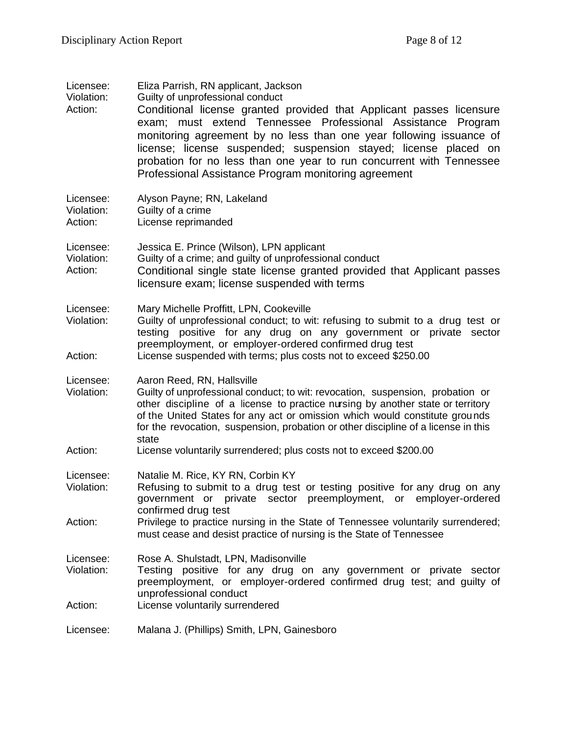| Licensee:<br>Violation:<br>Action: | Eliza Parrish, RN applicant, Jackson<br>Guilty of unprofessional conduct<br>Conditional license granted provided that Applicant passes licensure<br>exam; must extend Tennessee Professional Assistance Program<br>monitoring agreement by no less than one year following issuance of<br>license; license suspended; suspension stayed; license placed on<br>probation for no less than one year to run concurrent with Tennessee<br>Professional Assistance Program monitoring agreement |
|------------------------------------|--------------------------------------------------------------------------------------------------------------------------------------------------------------------------------------------------------------------------------------------------------------------------------------------------------------------------------------------------------------------------------------------------------------------------------------------------------------------------------------------|
| Licensee:<br>Violation:<br>Action: | Alyson Payne; RN, Lakeland<br>Guilty of a crime<br>License reprimanded                                                                                                                                                                                                                                                                                                                                                                                                                     |
| Licensee:<br>Violation:<br>Action: | Jessica E. Prince (Wilson), LPN applicant<br>Guilty of a crime; and guilty of unprofessional conduct<br>Conditional single state license granted provided that Applicant passes<br>licensure exam; license suspended with terms                                                                                                                                                                                                                                                            |
| Licensee:<br>Violation:<br>Action: | Mary Michelle Proffitt, LPN, Cookeville<br>Guilty of unprofessional conduct; to wit: refusing to submit to a drug test or<br>testing positive for any drug on any government or private sector<br>preemployment, or employer-ordered confirmed drug test<br>License suspended with terms; plus costs not to exceed \$250.00                                                                                                                                                                |
| Licensee:<br>Violation:            | Aaron Reed, RN, Hallsville<br>Guilty of unprofessional conduct; to wit: revocation, suspension, probation or<br>other discipline of a license to practice nursing by another state or territory<br>of the United States for any act or omission which would constitute grounds<br>for the revocation, suspension, probation or other discipline of a license in this<br>state                                                                                                              |
| Action:                            | License voluntarily surrendered; plus costs not to exceed \$200.00                                                                                                                                                                                                                                                                                                                                                                                                                         |
| Licensee:<br>Violation:            | Natalie M. Rice, KY RN, Corbin KY<br>Refusing to submit to a drug test or testing positive for any drug on any<br>government or private sector preemployment, or employer-ordered<br>confirmed drug test                                                                                                                                                                                                                                                                                   |
| Action:                            | Privilege to practice nursing in the State of Tennessee voluntarily surrendered;<br>must cease and desist practice of nursing is the State of Tennessee                                                                                                                                                                                                                                                                                                                                    |
| Licensee:<br>Violation:            | Rose A. Shulstadt, LPN, Madisonville<br>Testing positive for any drug on any government or private sector<br>preemployment, or employer-ordered confirmed drug test; and guilty of<br>unprofessional conduct                                                                                                                                                                                                                                                                               |
| Action:                            | License voluntarily surrendered                                                                                                                                                                                                                                                                                                                                                                                                                                                            |
| Licensee:                          | Malana J. (Phillips) Smith, LPN, Gainesboro                                                                                                                                                                                                                                                                                                                                                                                                                                                |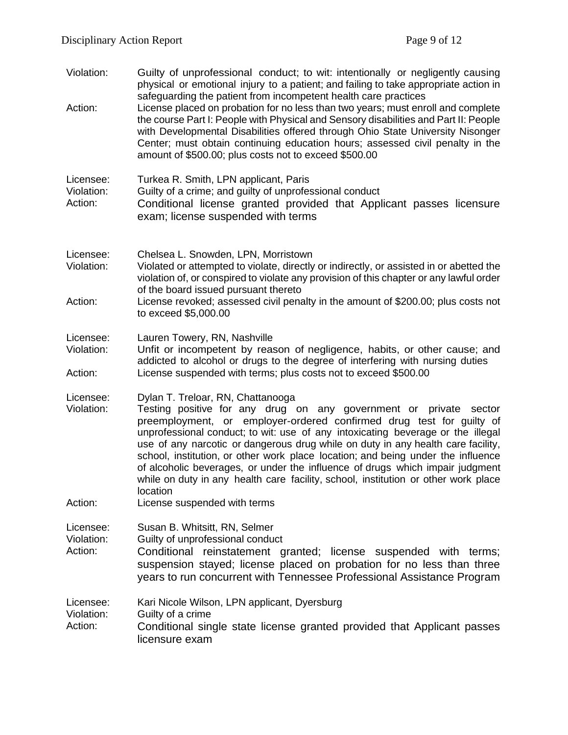- Violation: Guilty of unprofessional conduct; to wit: intentionally or negligently causing physical or emotional injury to a patient; and failing to take appropriate action in safeguarding the patient from incompetent health care practices
- Action: License placed on probation for no less than two years; must enroll and complete the course Part I: People with Physical and Sensory disabilities and Part II: People with Developmental Disabilities offered through Ohio State University Nisonger Center; must obtain continuing education hours; assessed civil penalty in the amount of \$500.00; plus costs not to exceed \$500.00

| Licensee:  | Turkea R. Smith, LPN applicant, Paris                                                                      |
|------------|------------------------------------------------------------------------------------------------------------|
| Violation: | Guilty of a crime; and guilty of unprofessional conduct                                                    |
| Action:    | Conditional license granted provided that Applicant passes licensure<br>exam; license suspended with terms |

- Licensee: Chelsea L. Snowden, LPN, Morristown Violation: Violated or attempted to violate, directly or indirectly, or assisted in or abetted the violation of, or conspired to violate any provision of this chapter or any lawful order of the board issued pursuant thereto
- Action: License revoked; assessed civil penalty in the amount of \$200.00; plus costs not to exceed \$5,000.00
- Licensee: Lauren Towery, RN, Nashville

Violation: Unfit or incompetent by reason of negligence, habits, or other cause; and addicted to alcohol or drugs to the degree of interfering with nursing duties Action: License suspended with terms; plus costs not to exceed \$500.00

Licensee: Dylan T. Treloar, RN, Chattanooga

- Violation: Testing positive for any drug on any government or private sector preemployment, or employer-ordered confirmed drug test for guilty of unprofessional conduct; to wit: use of any intoxicating beverage or the illegal use of any narcotic or dangerous drug while on duty in any health care facility, school, institution, or other work place location; and being under the influence of alcoholic beverages, or under the influence of drugs which impair judgment while on duty in any health care facility, school, institution or other work place location
- Action: License suspended with terms

Licensee: Susan B. Whitsitt, RN, Selmer

Violation: Guilty of unprofessional conduct

Action: Conditional reinstatement granted; license suspended with terms; suspension stayed; license placed on probation for no less than three years to run concurrent with Tennessee Professional Assistance Program

Licensee: Kari Nicole Wilson, LPN applicant, Dyersburg

Violation: Guilty of a crime

Action: Conditional single state license granted provided that Applicant passes licensure exam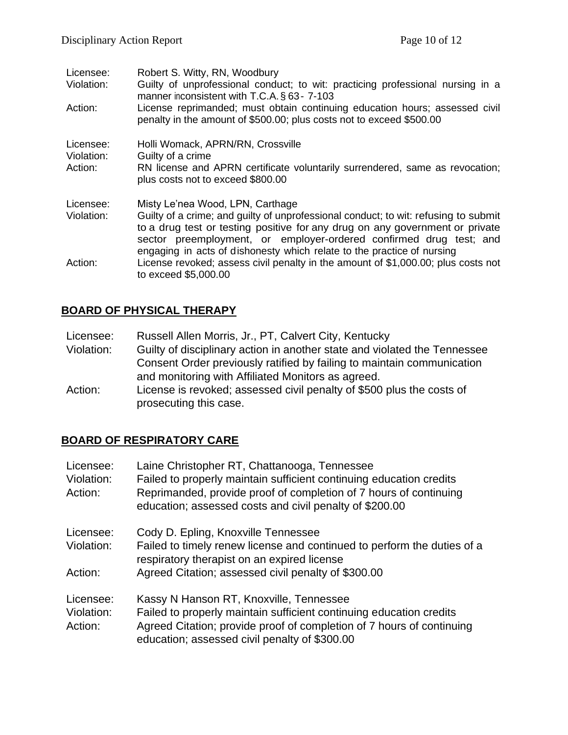| Licensee:  | Robert S. Witty, RN, Woodbury                                                                                                                       |
|------------|-----------------------------------------------------------------------------------------------------------------------------------------------------|
| Violation: | Guilty of unprofessional conduct; to wit: practicing professional nursing in a<br>manner inconsistent with T.C.A. § 63-7-103                        |
| Action:    | License reprimanded; must obtain continuing education hours; assessed civil<br>penalty in the amount of \$500.00; plus costs not to exceed \$500.00 |
| Licensee:  | Holli Womack, APRN/RN, Crossville                                                                                                                   |
| Violation: | Guilty of a crime                                                                                                                                   |
| Action:    | RN license and APRN certificate voluntarily surrendered, same as revocation;                                                                        |
|            | plus costs not to exceed \$800.00                                                                                                                   |
| Licensee:  | Misty Le'nea Wood, LPN, Carthage                                                                                                                    |
| Violation: | Guilty of a crime; and guilty of unprofessional conduct; to wit: refusing to submit                                                                 |
|            | to a drug test or testing positive for any drug on any government or private                                                                        |
|            | sector preemployment, or employer-ordered confirmed drug test; and                                                                                  |
|            | engaging in acts of dishonesty which relate to the practice of nursing                                                                              |
| Action:    | License revoked; assess civil penalty in the amount of \$1,000.00; plus costs not                                                                   |
|            | to exceed \$5,000.00                                                                                                                                |

## **BOARD OF PHYSICAL THERAPY**

| Licensee: | Russell Allen Morris, Jr., PT, Calvert City, Kentucky |  |
|-----------|-------------------------------------------------------|--|
|-----------|-------------------------------------------------------|--|

- Violation: Guilty of disciplinary action in another state and violated the Tennessee Consent Order previously ratified by failing to maintain communication and monitoring with Affiliated Monitors as agreed.
- Action: License is revoked; assessed civil penalty of \$500 plus the costs of prosecuting this case.

# **BOARD OF RESPIRATORY CARE**

| Licensee:<br>Violation:<br>Action: | Laine Christopher RT, Chattanooga, Tennessee<br>Failed to properly maintain sufficient continuing education credits<br>Reprimanded, provide proof of completion of 7 hours of continuing<br>education; assessed costs and civil penalty of \$200.00 |
|------------------------------------|-----------------------------------------------------------------------------------------------------------------------------------------------------------------------------------------------------------------------------------------------------|
| Licensee:<br>Violation:            | Cody D. Epling, Knoxville Tennessee<br>Failed to timely renew license and continued to perform the duties of a<br>respiratory therapist on an expired license                                                                                       |
| Action:                            | Agreed Citation; assessed civil penalty of \$300.00                                                                                                                                                                                                 |
| Licensee:                          | Kassy N Hanson RT, Knoxville, Tennessee                                                                                                                                                                                                             |
| Violation:<br>Action:              | Failed to properly maintain sufficient continuing education credits<br>Agreed Citation; provide proof of completion of 7 hours of continuing<br>education; assessed civil penalty of \$300.00                                                       |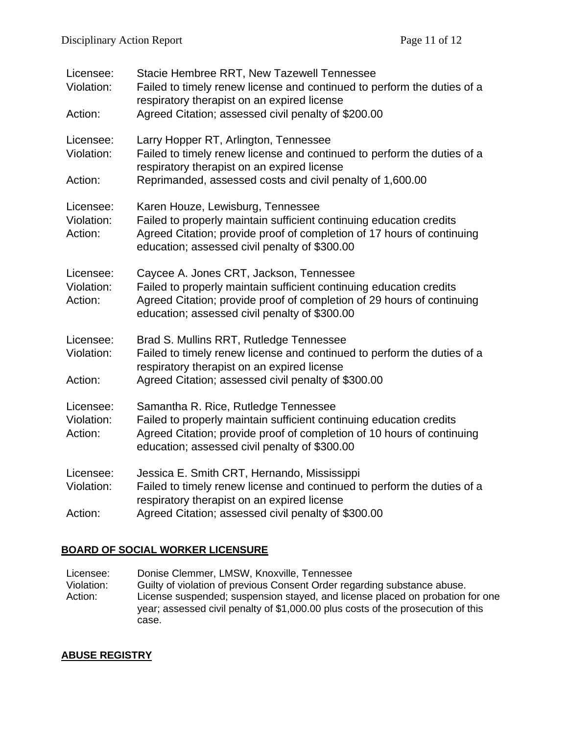| Licensee:<br>Violation:<br>Action: | Stacie Hembree RRT, New Tazewell Tennessee<br>Failed to timely renew license and continued to perform the duties of a<br>respiratory therapist on an expired license<br>Agreed Citation; assessed civil penalty of \$200.00               |
|------------------------------------|-------------------------------------------------------------------------------------------------------------------------------------------------------------------------------------------------------------------------------------------|
| Licensee:<br>Violation:<br>Action: | Larry Hopper RT, Arlington, Tennessee<br>Failed to timely renew license and continued to perform the duties of a<br>respiratory therapist on an expired license<br>Reprimanded, assessed costs and civil penalty of 1,600.00              |
| Licensee:<br>Violation:<br>Action: | Karen Houze, Lewisburg, Tennessee<br>Failed to properly maintain sufficient continuing education credits<br>Agreed Citation; provide proof of completion of 17 hours of continuing<br>education; assessed civil penalty of \$300.00       |
| Licensee:<br>Violation:<br>Action: | Caycee A. Jones CRT, Jackson, Tennessee<br>Failed to properly maintain sufficient continuing education credits<br>Agreed Citation; provide proof of completion of 29 hours of continuing<br>education; assessed civil penalty of \$300.00 |
| Licensee:<br>Violation:<br>Action: | Brad S. Mullins RRT, Rutledge Tennessee<br>Failed to timely renew license and continued to perform the duties of a<br>respiratory therapist on an expired license<br>Agreed Citation; assessed civil penalty of \$300.00                  |
| Licensee:<br>Violation:<br>Action: | Samantha R. Rice, Rutledge Tennessee<br>Failed to properly maintain sufficient continuing education credits<br>Agreed Citation; provide proof of completion of 10 hours of continuing<br>education; assessed civil penalty of \$300.00    |
| Licensee:<br>Violation:<br>Action: | Jessica E. Smith CRT, Hernando, Mississippi<br>Failed to timely renew license and continued to perform the duties of a<br>respiratory therapist on an expired license<br>Agreed Citation; assessed civil penalty of \$300.00              |

## **BOARD OF SOCIAL WORKER LICENSURE**

Licensee: Donise Clemmer, LMSW, Knoxville, Tennessee Violation: Guilty of violation of previous Consent Order regarding substance abuse. Action: License suspended; suspension stayed, and license placed on probation for one year; assessed civil penalty of \$1,000.00 plus costs of the prosecution of this case.

## **ABUSE REGISTRY**